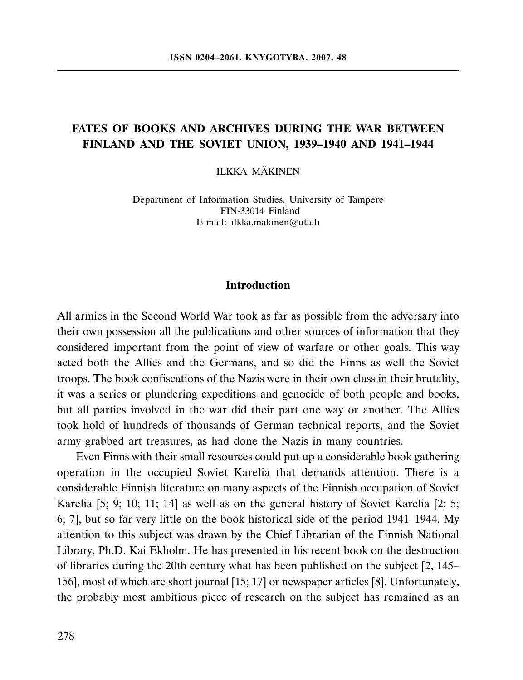# FATES OF BOOKS AND ARCHIVES DURING THE WAR BETWEEN FINLAND AND THE SOVIET UNION, 1939–1940 AND 1941–1944

ILKKA MÄKINEN

Department of Information Studies, University of Tampere FIN-33014 Finland E-mail: ilkka.makinen@uta.fi

### Introduction

All armies in the Second World War took as far as possible from the adversary into their own possession all the publications and other sources of information that they considered important from the point of view of warfare or other goals. This way acted both the Allies and the Germans, and so did the Finns as well the Soviet troops. The book confiscations of the Nazis were in their own class in their brutality, it was a series or plundering expeditions and genocide of both people and books, but all parties involved in the war did their part one way or another. The Allies took hold of hundreds of thousands of German technical reports, and the Soviet army grabbed art treasures, as had done the Nazis in many countries.

Even Finns with their small resources could put up a considerable book gathering operation in the occupied Soviet Karelia that demands attention. There is a considerable Finnish literature on many aspects of the Finnish occupation of Soviet Karelia [5; 9; 10; 11; 14] as well as on the general history of Soviet Karelia [2; 5; 6; 7], but so far very little on the book historical side of the period 1941–1944. My attention to this subject was drawn by the Chief Librarian of the Finnish National Library, Ph.D. Kai Ekholm. He has presented in his recent book on the destruction of libraries during the 20th century what has been published on the subject [2, 145– 156], most of which are short journal [15; 17] or newspaper articles [8]. Unfortunately, the probably most ambitious piece of research on the subject has remained as an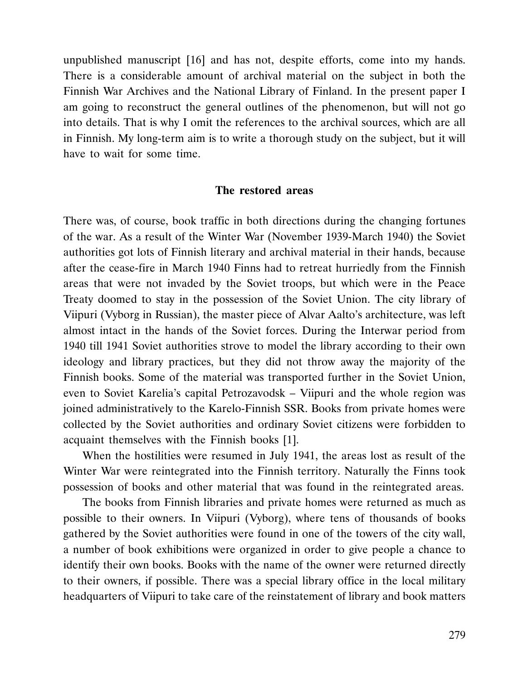unpublished manuscript [16] and has not, despite efforts, come into my hands. There is a considerable amount of archival material on the subject in both the Finnish War Archives and the National Library of Finland. In the present paper I am going to reconstruct the general outlines of the phenomenon, but will not go into details. That is why I omit the references to the archival sources, which are all in Finnish. My long-term aim is to write a thorough study on the subject, but it will have to wait for some time.

## The restored areas

There was, of course, book traffic in both directions during the changing fortunes of the war. As a result of the Winter War (November 1939-March 1940) the Soviet authorities got lots of Finnish literary and archival material in their hands, because after the cease-fire in March 1940 Finns had to retreat hurriedly from the Finnish areas that were not invaded by the Soviet troops, but which were in the Peace Treaty doomed to stay in the possession of the Soviet Union. The city library of Viipuri (Vyborg in Russian), the master piece of Alvar Aalto's architecture, was left almost intact in the hands of the Soviet forces. During the Interwar period from 1940 till 1941 Soviet authorities strove to model the library according to their own ideology and library practices, but they did not throw away the majority of the Finnish books. Some of the material was transported further in the Soviet Union, even to Soviet Karelia's capital Petrozavodsk – Viipuri and the whole region was joined administratively to the Karelo-Finnish SSR. Books from private homes were collected by the Soviet authorities and ordinary Soviet citizens were forbidden to acquaint themselves with the Finnish books [1].

When the hostilities were resumed in July 1941, the areas lost as result of the Winter War were reintegrated into the Finnish territory. Naturally the Finns took possession of books and other material that was found in the reintegrated areas.

The books from Finnish libraries and private homes were returned as much as possible to their owners. In Viipuri (Vyborg), where tens of thousands of books gathered by the Soviet authorities were found in one of the towers of the city wall, a number of book exhibitions were organized in order to give people a chance to identify their own books. Books with the name of the owner were returned directly to their owners, if possible. There was a special library office in the local military headquarters of Viipuri to take care of the reinstatement of library and book matters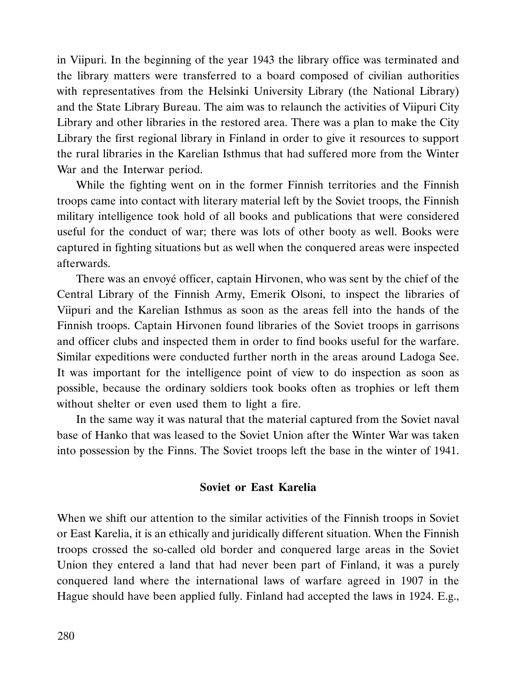in Viipuri. In the beginning of the year 1943 the library office was terminated and the library matters were transferred to a board composed of civilian authorities with representatives from the Helsinki University Library (the National Library) and the State Library Bureau. The aim was to relaunch the activities of Viipuri City Library and other libraries in the restored area. There was a plan to make the City Library the first regional library in Finland in order to give it resources to support the rural libraries in the Karelian Isthmus that had suffered more from the Winter War and the Interwar period.

While the fighting went on in the former Finnish territories and the Finnish troops came into contact with literary material left by the Soviet troops, the Finnish military intelligence took hold of all books and publications that were considered useful for the conduct of war; there was lots of other booty as well. Books were captured in fighting situations but as well when the conquered areas were inspected afterwards.

There was an envoyé officer, captain Hirvonen, who was sent by the chief of the Central Library of the Finnish Army, Emerik Olsoni, to inspect the libraries of Viipuri and the Karelian Isthmus as soon as the areas fell into the hands of the Finnish troops. Captain Hirvonen found libraries of the Soviet troops in garrisons and officer clubs and inspected them in order to find books useful for the warfare. Similar expeditions were conducted further north in the areas around Ladoga See. It was important for the intelligence point of view to do inspection as soon as possible, because the ordinary soldiers took books often as trophies or left them without shelter or even used them to light a fire.

In the same way it was natural that the material captured from the Soviet naval base of Hanko that was leased to the Soviet Union after the Winter War was taken into possession by the Finns. The Soviet troops left the base in the winter of 1941.

## Soviet or East Karelia

When we shift our attention to the similar activities of the Finnish troops in Soviet or East Karelia, it is an ethically and juridically different situation. When the Finnish troops crossed the so-called old border and conquered large areas in the Soviet Union they entered a land that had never been part of Finland, it was a purely conquered land where the international laws of warfare agreed in 1907 in the Hague should have been applied fully. Finland had accepted the laws in 1924. E.g.,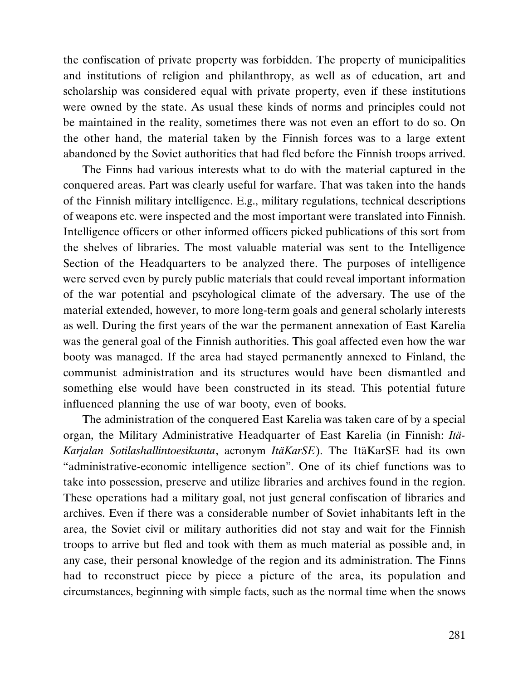the confiscation of private property was forbidden. The property of municipalities and institutions of religion and philanthropy, as well as of education, art and scholarship was considered equal with private property, even if these institutions were owned by the state. As usual these kinds of norms and principles could not be maintained in the reality, sometimes there was not even an effort to do so. On the other hand, the material taken by the Finnish forces was to a large extent abandoned by the Soviet authorities that had fled before the Finnish troops arrived.

The Finns had various interests what to do with the material captured in the conquered areas. Part was clearly useful for warfare. That was taken into the hands of the Finnish military intelligence. E.g., military regulations, technical descriptions of weapons etc. were inspected and the most important were translated into Finnish. Intelligence officers or other informed officers picked publications of this sort from the shelves of libraries. The most valuable material was sent to the Intelligence Section of the Headquarters to be analyzed there. The purposes of intelligence were served even by purely public materials that could reveal important information of the war potential and pscyhological climate of the adversary. The use of the material extended, however, to more long-term goals and general scholarly interests as well. During the first years of the war the permanent annexation of East Karelia was the general goal of the Finnish authorities. This goal affected even how the war booty was managed. If the area had stayed permanently annexed to Finland, the communist administration and its structures would have been dismantled and something else would have been constructed in its stead. This potential future influenced planning the use of war booty, even of books.

The administration of the conquered East Karelia was taken care of by a special organ, the Military Administrative Headquarter of East Karelia (in Finnish: Itä-Karjalan Sotilashallintoesikunta, acronym ItäKarSE). The ItäKarSE had its own "administrative-economic intelligence section". One of its chief functions was to take into possession, preserve and utilize libraries and archives found in the region. These operations had a military goal, not just general confiscation of libraries and archives. Even if there was a considerable number of Soviet inhabitants left in the area, the Soviet civil or military authorities did not stay and wait for the Finnish troops to arrive but fled and took with them as much material as possible and, in any case, their personal knowledge of the region and its administration. The Finns had to reconstruct piece by piece a picture of the area, its population and circumstances, beginning with simple facts, such as the normal time when the snows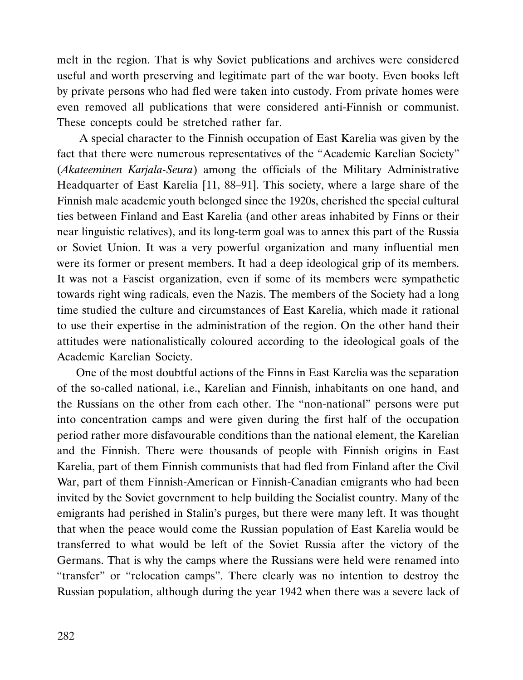melt in the region. That is why Soviet publications and archives were considered useful and worth preserving and legitimate part of the war booty. Even books left by private persons who had fled were taken into custody. From private homes were even removed all publications that were considered anti-Finnish or communist. These concepts could be stretched rather far.

 A special character to the Finnish occupation of East Karelia was given by the fact that there were numerous representatives of the "Academic Karelian Society" (Akateeminen Karjala-Seura) among the officials of the Military Administrative Headquarter of East Karelia [11, 88–91]. This society, where a large share of the Finnish male academic youth belonged since the 1920s, cherished the special cultural ties between Finland and East Karelia (and other areas inhabited by Finns or their near linguistic relatives), and its long-term goal was to annex this part of the Russia or Soviet Union. It was a very powerful organization and many influential men were its former or present members. It had a deep ideological grip of its members. It was not a Fascist organization, even if some of its members were sympathetic towards right wing radicals, even the Nazis. The members of the Society had a long time studied the culture and circumstances of East Karelia, which made it rational to use their expertise in the administration of the region. On the other hand their attitudes were nationalistically coloured according to the ideological goals of the Academic Karelian Society.

One of the most doubtful actions of the Finns in East Karelia was the separation of the so-called national, i.e., Karelian and Finnish, inhabitants on one hand, and the Russians on the other from each other. The "non-national" persons were put into concentration camps and were given during the first half of the occupation period rather more disfavourable conditions than the national element, the Karelian and the Finnish. There were thousands of people with Finnish origins in East Karelia, part of them Finnish communists that had fled from Finland after the Civil War, part of them Finnish-American or Finnish-Canadian emigrants who had been invited by the Soviet government to help building the Socialist country. Many of the emigrants had perished in Stalin's purges, but there were many left. It was thought that when the peace would come the Russian population of East Karelia would be transferred to what would be left of the Soviet Russia after the victory of the Germans. That is why the camps where the Russians were held were renamed into "transfer" or "relocation camps". There clearly was no intention to destroy the Russian population, although during the year 1942 when there was a severe lack of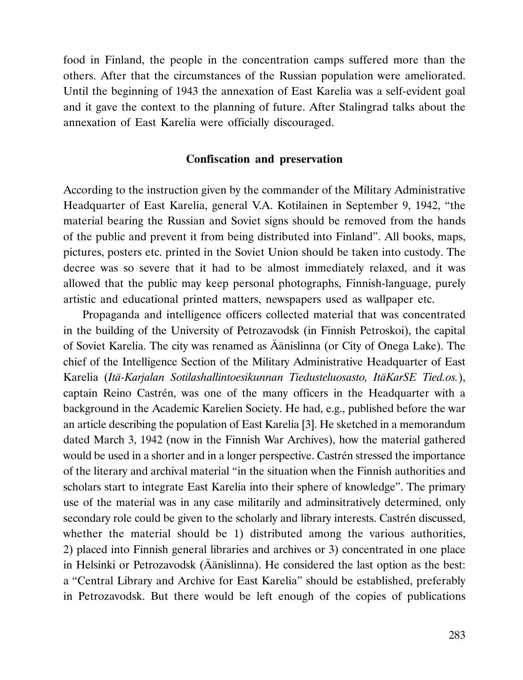food in Finland, the people in the concentration camps suffered more than the others. After that the circumstances of the Russian population were ameliorated. Until the beginning of 1943 the annexation of East Karelia was a self-evident goal and it gave the context to the planning of future. After Stalingrad talks about the annexation of East Karelia were officially discouraged.

### Confiscation and preservation

According to the instruction given by the commander of the Military Administrative Headquarter of East Karelia, general V.A. Kotilainen in September 9, 1942, "the material bearing the Russian and Soviet signs should be removed from the hands of the public and prevent it from being distributed into Finland". All books, maps, pictures, posters etc. printed in the Soviet Union should be taken into custody. The decree was so severe that it had to be almost immediately relaxed, and it was allowed that the public may keep personal photographs, Finnish-language, purely artistic and educational printed matters, newspapers used as wallpaper etc.

Propaganda and intelligence officers collected material that was concentrated in the building of the University of Petrozavodsk (in Finnish Petroskoi), the capital of Soviet Karelia. The city was renamed as Äänislinna (or City of Onega Lake). The chief of the Intelligence Section of the Military Administrative Headquarter of East Karelia (Itä-Karjalan Sotilashallintoesikunnan Tiedusteluosasto, ItäKarSE Tied.os.), captain Reino Castrén, was one of the many officers in the Headquarter with a background in the Academic Karelien Society. He had, e.g., published before the war an article describing the population of East Karelia [3]. He sketched in a memorandum dated March 3, 1942 (now in the Finnish War Archives), how the material gathered would be used in a shorter and in a longer perspective. Castrén stressed the importance of the literary and archival material "in the situation when the Finnish authorities and scholars start to integrate East Karelia into their sphere of knowledge". The primary use of the material was in any case militarily and adminsitratively determined, only secondary role could be given to the scholarly and library interests. Castrén discussed, whether the material should be 1) distributed among the various authorities, 2) placed into Finnish general libraries and archives or 3) concentrated in one place in Helsinki or Petrozavodsk (Äänislinna). He considered the last option as the best: a "Central Library and Archive for East Karelia" should be established, preferably in Petrozavodsk. But there would be left enough of the copies of publications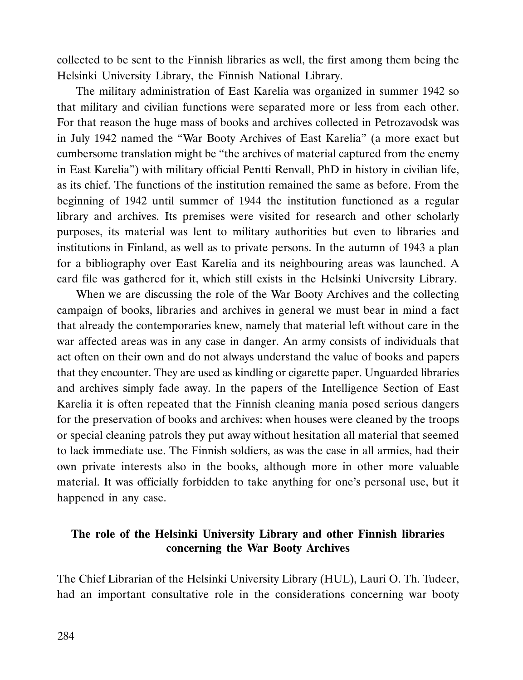collected to be sent to the Finnish libraries as well, the first among them being the Helsinki University Library, the Finnish National Library.

The military administration of East Karelia was organized in summer 1942 so that military and civilian functions were separated more or less from each other. For that reason the huge mass of books and archives collected in Petrozavodsk was in July 1942 named the "War Booty Archives of East Karelia" (a more exact but cumbersome translation might be "the archives of material captured from the enemy in East Karelia") with military official Pentti Renvall, PhD in history in civilian life, as its chief. The functions of the institution remained the same as before. From the beginning of 1942 until summer of 1944 the institution functioned as a regular library and archives. Its premises were visited for research and other scholarly purposes, its material was lent to military authorities but even to libraries and institutions in Finland, as well as to private persons. In the autumn of 1943 a plan for a bibliography over East Karelia and its neighbouring areas was launched. A card file was gathered for it, which still exists in the Helsinki University Library.

When we are discussing the role of the War Booty Archives and the collecting campaign of books, libraries and archives in general we must bear in mind a fact that already the contemporaries knew, namely that material left without care in the war affected areas was in any case in danger. An army consists of individuals that act often on their own and do not always understand the value of books and papers that they encounter. They are used as kindling or cigarette paper. Unguarded libraries and archives simply fade away. In the papers of the Intelligence Section of East Karelia it is often repeated that the Finnish cleaning mania posed serious dangers for the preservation of books and archives: when houses were cleaned by the troops or special cleaning patrols they put away without hesitation all material that seemed to lack immediate use. The Finnish soldiers, as was the case in all armies, had their own private interests also in the books, although more in other more valuable material. It was officially forbidden to take anything for one's personal use, but it happened in any case.

# The role of the Helsinki University Library and other Finnish libraries concerning the War Booty Archives

The Chief Librarian of the Helsinki University Library (HUL), Lauri O. Th. Tudeer, had an important consultative role in the considerations concerning war booty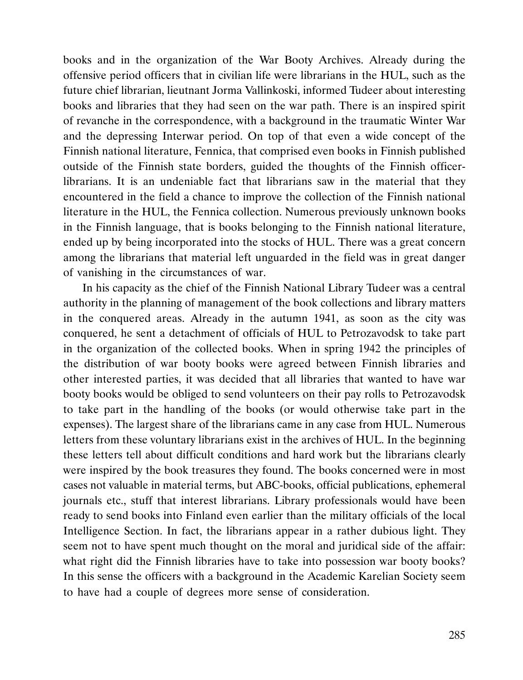books and in the organization of the War Booty Archives. Already during the offensive period officers that in civilian life were librarians in the HUL, such as the future chief librarian, lieutnant Jorma Vallinkoski, informed Tudeer about interesting books and libraries that they had seen on the war path. There is an inspired spirit of revanche in the correspondence, with a background in the traumatic Winter War and the depressing Interwar period. On top of that even a wide concept of the Finnish national literature, Fennica, that comprised even books in Finnish published outside of the Finnish state borders, guided the thoughts of the Finnish officerlibrarians. It is an undeniable fact that librarians saw in the material that they encountered in the field a chance to improve the collection of the Finnish national literature in the HUL, the Fennica collection. Numerous previously unknown books in the Finnish language, that is books belonging to the Finnish national literature, ended up by being incorporated into the stocks of HUL. There was a great concern among the librarians that material left unguarded in the field was in great danger of vanishing in the circumstances of war.

In his capacity as the chief of the Finnish National Library Tudeer was a central authority in the planning of management of the book collections and library matters in the conquered areas. Already in the autumn 1941, as soon as the city was conquered, he sent a detachment of officials of HUL to Petrozavodsk to take part in the organization of the collected books. When in spring 1942 the principles of the distribution of war booty books were agreed between Finnish libraries and other interested parties, it was decided that all libraries that wanted to have war booty books would be obliged to send volunteers on their pay rolls to Petrozavodsk to take part in the handling of the books (or would otherwise take part in the expenses). The largest share of the librarians came in any case from HUL. Numerous letters from these voluntary librarians exist in the archives of HUL. In the beginning these letters tell about difficult conditions and hard work but the librarians clearly were inspired by the book treasures they found. The books concerned were in most cases not valuable in material terms, but ABC-books, official publications, ephemeral journals etc., stuff that interest librarians. Library professionals would have been ready to send books into Finland even earlier than the military officials of the local Intelligence Section. In fact, the librarians appear in a rather dubious light. They seem not to have spent much thought on the moral and juridical side of the affair: what right did the Finnish libraries have to take into possession war booty books? In this sense the officers with a background in the Academic Karelian Society seem to have had a couple of degrees more sense of consideration.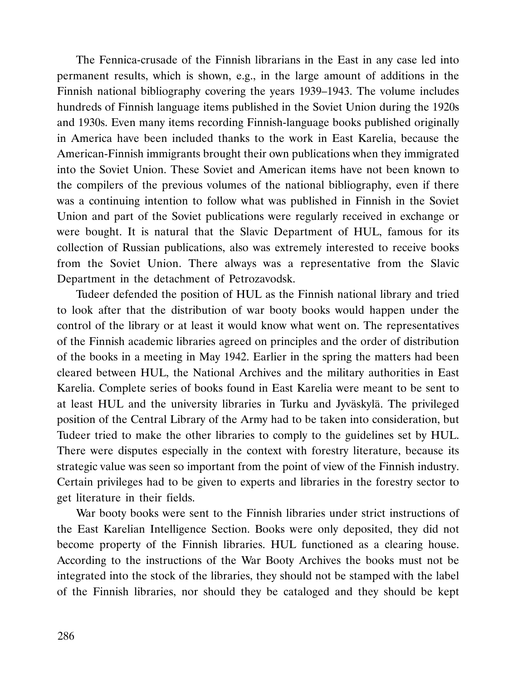The Fennica-crusade of the Finnish librarians in the East in any case led into permanent results, which is shown, e.g., in the large amount of additions in the Finnish national bibliography covering the years 1939–1943. The volume includes hundreds of Finnish language items published in the Soviet Union during the 1920s and 1930s. Even many items recording Finnish-language books published originally in America have been included thanks to the work in East Karelia, because the American-Finnish immigrants brought their own publications when they immigrated into the Soviet Union. These Soviet and American items have not been known to the compilers of the previous volumes of the national bibliography, even if there was a continuing intention to follow what was published in Finnish in the Soviet Union and part of the Soviet publications were regularly received in exchange or were bought. It is natural that the Slavic Department of HUL, famous for its collection of Russian publications, also was extremely interested to receive books from the Soviet Union. There always was a representative from the Slavic Department in the detachment of Petrozavodsk.

Tudeer defended the position of HUL as the Finnish national library and tried to look after that the distribution of war booty books would happen under the control of the library or at least it would know what went on. The representatives of the Finnish academic libraries agreed on principles and the order of distribution of the books in a meeting in May 1942. Earlier in the spring the matters had been cleared between HUL, the National Archives and the military authorities in East Karelia. Complete series of books found in East Karelia were meant to be sent to at least HUL and the university libraries in Turku and Jyväskylä. The privileged position of the Central Library of the Army had to be taken into consideration, but Tudeer tried to make the other libraries to comply to the guidelines set by HUL. There were disputes especially in the context with forestry literature, because its strategic value was seen so important from the point of view of the Finnish industry. Certain privileges had to be given to experts and libraries in the forestry sector to get literature in their fields.

War booty books were sent to the Finnish libraries under strict instructions of the East Karelian Intelligence Section. Books were only deposited, they did not become property of the Finnish libraries. HUL functioned as a clearing house. According to the instructions of the War Booty Archives the books must not be integrated into the stock of the libraries, they should not be stamped with the label of the Finnish libraries, nor should they be cataloged and they should be kept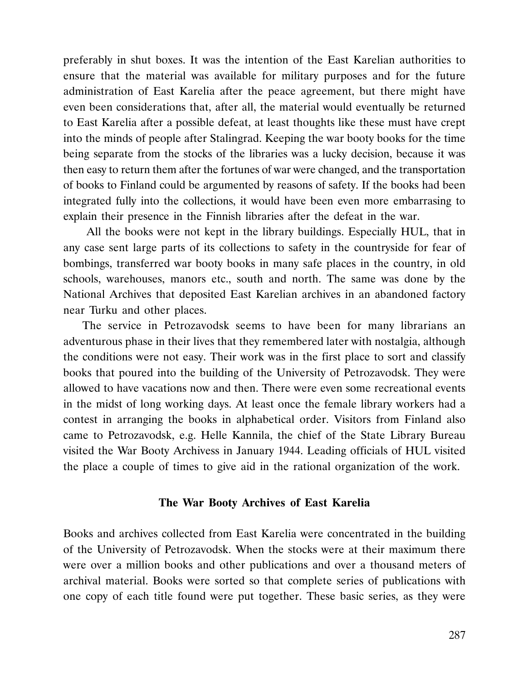preferably in shut boxes. It was the intention of the East Karelian authorities to ensure that the material was available for military purposes and for the future administration of East Karelia after the peace agreement, but there might have even been considerations that, after all, the material would eventually be returned to East Karelia after a possible defeat, at least thoughts like these must have crept into the minds of people after Stalingrad. Keeping the war booty books for the time being separate from the stocks of the libraries was a lucky decision, because it was then easy to return them after the fortunes of war were changed, and the transportation of books to Finland could be argumented by reasons of safety. If the books had been integrated fully into the collections, it would have been even more embarrasing to explain their presence in the Finnish libraries after the defeat in the war.

 All the books were not kept in the library buildings. Especially HUL, that in any case sent large parts of its collections to safety in the countryside for fear of bombings, transferred war booty books in many safe places in the country, in old schools, warehouses, manors etc., south and north. The same was done by the National Archives that deposited East Karelian archives in an abandoned factory near Turku and other places.

The service in Petrozavodsk seems to have been for many librarians an adventurous phase in their lives that they remembered later with nostalgia, although the conditions were not easy. Their work was in the first place to sort and classify books that poured into the building of the University of Petrozavodsk. They were allowed to have vacations now and then. There were even some recreational events in the midst of long working days. At least once the female library workers had a contest in arranging the books in alphabetical order. Visitors from Finland also came to Petrozavodsk, e.g. Helle Kannila, the chief of the State Library Bureau visited the War Booty Archivess in January 1944. Leading officials of HUL visited the place a couple of times to give aid in the rational organization of the work.

### The War Booty Archives of East Karelia

Books and archives collected from East Karelia were concentrated in the building of the University of Petrozavodsk. When the stocks were at their maximum there were over a million books and other publications and over a thousand meters of archival material. Books were sorted so that complete series of publications with one copy of each title found were put together. These basic series, as they were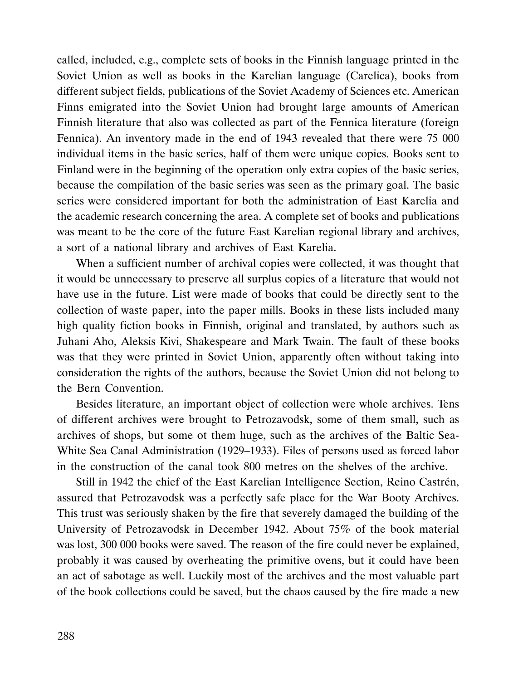called, included, e.g., complete sets of books in the Finnish language printed in the Soviet Union as well as books in the Karelian language (Carelica), books from different subject fields, publications of the Soviet Academy of Sciences etc. American Finns emigrated into the Soviet Union had brought large amounts of American Finnish literature that also was collected as part of the Fennica literature (foreign Fennica). An inventory made in the end of 1943 revealed that there were 75 000 individual items in the basic series, half of them were unique copies. Books sent to Finland were in the beginning of the operation only extra copies of the basic series, because the compilation of the basic series was seen as the primary goal. The basic series were considered important for both the administration of East Karelia and the academic research concerning the area. A complete set of books and publications was meant to be the core of the future East Karelian regional library and archives, a sort of a national library and archives of East Karelia.

When a sufficient number of archival copies were collected, it was thought that it would be unnecessary to preserve all surplus copies of a literature that would not have use in the future. List were made of books that could be directly sent to the collection of waste paper, into the paper mills. Books in these lists included many high quality fiction books in Finnish, original and translated, by authors such as Juhani Aho, Aleksis Kivi, Shakespeare and Mark Twain. The fault of these books was that they were printed in Soviet Union, apparently often without taking into consideration the rights of the authors, because the Soviet Union did not belong to the Bern Convention.

Besides literature, an important object of collection were whole archives. Tens of different archives were brought to Petrozavodsk, some of them small, such as archives of shops, but some ot them huge, such as the archives of the Baltic Sea-White Sea Canal Administration (1929–1933). Files of persons used as forced labor in the construction of the canal took 800 metres on the shelves of the archive.

Still in 1942 the chief of the East Karelian Intelligence Section, Reino Castrén, assured that Petrozavodsk was a perfectly safe place for the War Booty Archives. This trust was seriously shaken by the fire that severely damaged the building of the University of Petrozavodsk in December 1942. About 75% of the book material was lost, 300 000 books were saved. The reason of the fire could never be explained, probably it was caused by overheating the primitive ovens, but it could have been an act of sabotage as well. Luckily most of the archives and the most valuable part of the book collections could be saved, but the chaos caused by the fire made a new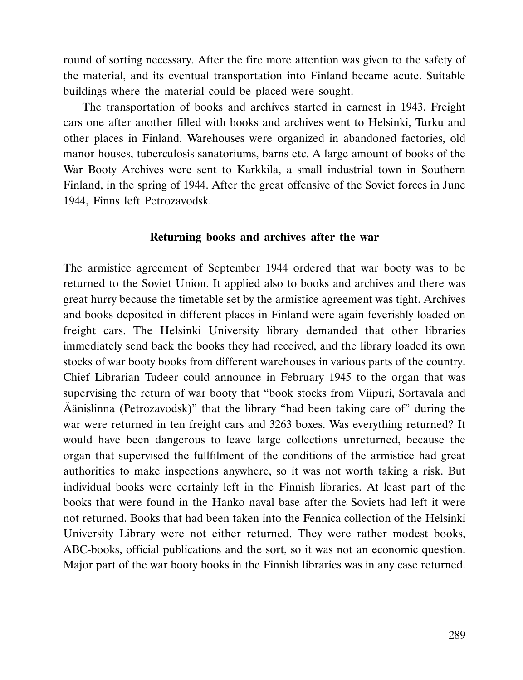round of sorting necessary. After the fire more attention was given to the safety of the material, and its eventual transportation into Finland became acute. Suitable buildings where the material could be placed were sought.

The transportation of books and archives started in earnest in 1943. Freight cars one after another filled with books and archives went to Helsinki, Turku and other places in Finland. Warehouses were organized in abandoned factories, old manor houses, tuberculosis sanatoriums, barns etc. A large amount of books of the War Booty Archives were sent to Karkkila, a small industrial town in Southern Finland, in the spring of 1944. After the great offensive of the Soviet forces in June 1944, Finns left Petrozavodsk.

#### Returning books and archives after the war

The armistice agreement of September 1944 ordered that war booty was to be returned to the Soviet Union. It applied also to books and archives and there was great hurry because the timetable set by the armistice agreement was tight. Archives and books deposited in different places in Finland were again feverishly loaded on freight cars. The Helsinki University library demanded that other libraries immediately send back the books they had received, and the library loaded its own stocks of war booty books from different warehouses in various parts of the country. Chief Librarian Tudeer could announce in February 1945 to the organ that was supervising the return of war booty that "book stocks from Viipuri, Sortavala and Äänislinna (Petrozavodsk)" that the library "had been taking care of" during the war were returned in ten freight cars and 3263 boxes. Was everything returned? It would have been dangerous to leave large collections unreturned, because the organ that supervised the fullfilment of the conditions of the armistice had great authorities to make inspections anywhere, so it was not worth taking a risk. But individual books were certainly left in the Finnish libraries. At least part of the books that were found in the Hanko naval base after the Soviets had left it were not returned. Books that had been taken into the Fennica collection of the Helsinki University Library were not either returned. They were rather modest books, ABC-books, official publications and the sort, so it was not an economic question. Major part of the war booty books in the Finnish libraries was in any case returned.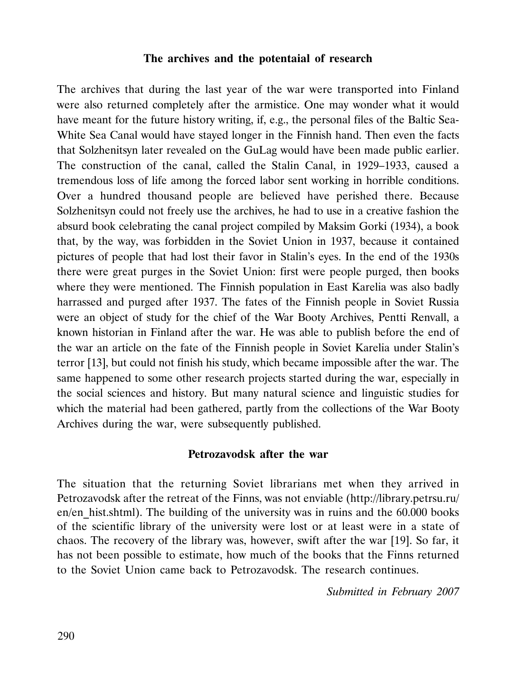#### The archives and the potentaial of research

The archives that during the last year of the war were transported into Finland were also returned completely after the armistice. One may wonder what it would have meant for the future history writing, if, e.g., the personal files of the Baltic Sea-White Sea Canal would have stayed longer in the Finnish hand. Then even the facts that Solzhenitsyn later revealed on the GuLag would have been made public earlier. The construction of the canal, called the Stalin Canal, in 1929–1933, caused a tremendous loss of life among the forced labor sent working in horrible conditions. Over a hundred thousand people are believed have perished there. Because Solzhenitsyn could not freely use the archives, he had to use in a creative fashion the absurd book celebrating the canal project compiled by Maksim Gorki (1934), a book that, by the way, was forbidden in the Soviet Union in 1937, because it contained pictures of people that had lost their favor in Stalin's eyes. In the end of the 1930s there were great purges in the Soviet Union: first were people purged, then books where they were mentioned. The Finnish population in East Karelia was also badly harrassed and purged after 1937. The fates of the Finnish people in Soviet Russia were an object of study for the chief of the War Booty Archives, Pentti Renvall, a known historian in Finland after the war. He was able to publish before the end of the war an article on the fate of the Finnish people in Soviet Karelia under Stalin's terror [13], but could not finish his study, which became impossible after the war. The same happened to some other research projects started during the war, especially in the social sciences and history. But many natural science and linguistic studies for which the material had been gathered, partly from the collections of the War Booty Archives during the war, were subsequently published.

#### Petrozavodsk after the war

The situation that the returning Soviet librarians met when they arrived in Petrozavodsk after the retreat of the Finns, was not enviable (http://library.petrsu.ru/ en/en hist.shtml). The building of the university was in ruins and the 60.000 books of the scientific library of the university were lost or at least were in a state of chaos. The recovery of the library was, however, swift after the war [19]. So far, it has not been possible to estimate, how much of the books that the Finns returned to the Soviet Union came back to Petrozavodsk. The research continues.

Submitted in February 2007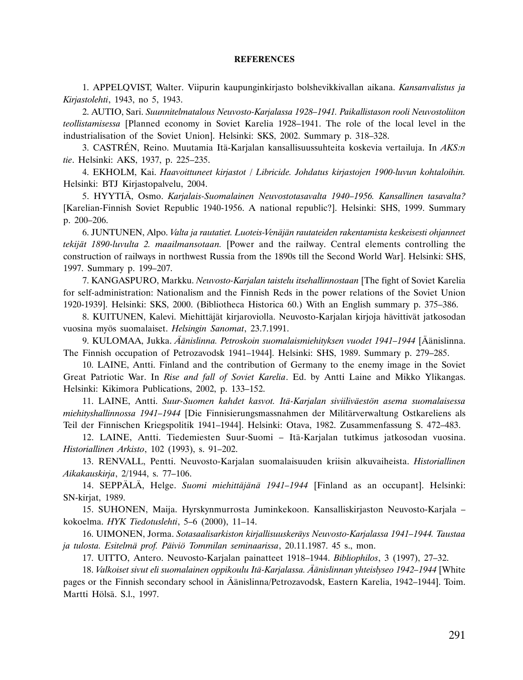#### **REFERENCES**

1. APPELQVIST, Walter. Viipurin kaupunginkirjasto bolshevikkivallan aikana. Kansanvalistus ja Kirjastolehti, 1943, no 5, 1943.

2. AUTIO, Sari. Suunnitelmatalous Neuvosto-Karjalassa 1928–1941. Paikallistason rooli Neuvostoliiton teollistamisessa [Planned economy in Soviet Karelia 1928–1941. The role of the local level in the industrialisation of the Soviet Union]. Helsinki: SKS, 2002. Summary p. 318–328.

3. CASTRÉN, Reino. Muutamia Itä-Karjalan kansallisuussuhteita koskevia vertailuja. In AKS:n tie. Helsinki: AKS, 1937, p. 225–235.

4. EKHOLM, Kai. Haavoittuneet kirjastot / Libricide. Johdatus kirjastojen 1900-luvun kohtaloihin. Helsinki: BTJ Kirjastopalvelu, 2004.

5. HYYTIÄ, Osmo. Karjalais-Suomalainen Neuvostotasavalta 1940–1956. Kansallinen tasavalta? [Karelian-Finnish Soviet Republic 1940-1956. A national republic?]. Helsinki: SHS, 1999. Summary p. 200–206.

6. JUNTUNEN, Alpo. Valta ja rautatiet. Luoteis-Venäjän rautateiden rakentamista keskeisesti ohjanneet tekijät 1890-luvulta 2. maailmansotaan. [Power and the railway. Central elements controlling the construction of railways in northwest Russia from the 1890s till the Second World War]. Helsinki: SHS, 1997. Summary p. 199–207.

7. KANGASPURO, Markku. Neuvosto-Karjalan taistelu itsehallinnostaan [The fight of Soviet Karelia for self-administration: Nationalism and the Finnish Reds in the power relations of the Soviet Union 1920-1939]. Helsinki: SKS, 2000. (Bibliotheca Historica 60.) With an English summary p. 375–386.

8. KUITUNEN, Kalevi. Miehittäjät kirjaroviolla. Neuvosto-Karjalan kirjoja hävittivät jatkosodan vuosina myös suomalaiset. Helsingin Sanomat, 23.7.1991.

9. KULOMAA, Jukka. Äänislinna. Petroskoin suomalaismiehityksen vuodet 1941–1944 [Äänislinna. The Finnish occupation of Petrozavodsk 1941–1944]. Helsinki: SHS, 1989. Summary p. 279–285.

10. LAINE, Antti. Finland and the contribution of Germany to the enemy image in the Soviet Great Patriotic War. In Rise and fall of Soviet Karelia. Ed. by Antti Laine and Mikko Ylikangas. Helsinki: Kikimora Publications, 2002, p. 133–152.

11. LAINE, Antti. Suur-Suomen kahdet kasvot. Itä-Karjalan siviiliväestön asema suomalaisessa miehityshallinnossa 1941–1944 [Die Finnisierungsmassnahmen der Militärverwaltung Ostkareliens als Teil der Finnischen Kriegspolitik 1941–1944]. Helsinki: Otava, 1982. Zusammenfassung S. 472–483.

12. LAINE, Antti. Tiedemiesten Suur-Suomi – Itä-Karjalan tutkimus jatkosodan vuosina. Historiallinen Arkisto, 102 (1993), s. 91–202.

13. RENVALL, Pentti. Neuvosto-Karjalan suomalaisuuden kriisin alkuvaiheista. Historiallinen Aikakauskirja, 2/1944, s. 77–106.

14. SEPPÄLÄ, Helge. Suomi miehittäjänä 1941–1944 [Finland as an occupant]. Helsinki: SN-kirjat, 1989.

15. SUHONEN, Maija. Hyrskynmurrosta Juminkekoon. Kansalliskirjaston Neuvosto-Karjala – kokoelma. HYK Tiedotuslehti, 5–6 (2000), 11–14.

16. UIMONEN, Jorma. Sotasaalisarkiston kirjallisuuskeräys Neuvosto-Karjalassa 1941–1944. Taustaa ja tulosta. Esitelmä prof. Päiviö Tommilan seminaarissa, 20.11.1987. 45 s., mon.

17. UITTO, Antero. Neuvosto-Karjalan painatteet 1918–1944. Bibliophilos, 3 (1997), 27–32.

18. Valkoiset sivut eli suomalainen oppikoulu Itä-Karjalassa. Äänislinnan yhteislyseo 1942–1944 [White pages or the Finnish secondary school in Äänislinna/Petrozavodsk, Eastern Karelia, 1942–1944]. Toim. Martti Hölsä. S.l., 1997.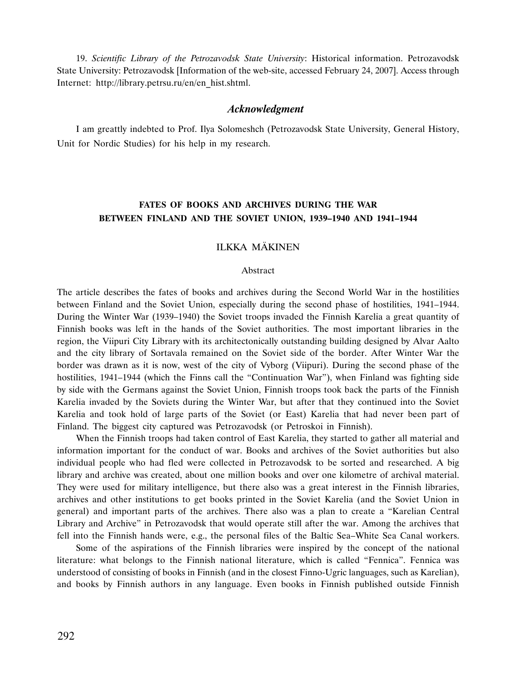19. Scientific Library of the Petrozavodsk State University: Historical information. Petrozavodsk State University: Petrozavodsk [Information of the web-site, accessed February 24, 2007]. Access through Internet: http://library.petrsu.ru/en/en\_hist.shtml.

#### Acknowledgment

I am greattly indebted to Prof. Ilya Solomeshch (Petrozavodsk State University, General History, Unit for Nordic Studies) for his help in my research.

### FATES OF BOOKS AND ARCHIVES DURING THE WAR BETWEEN FINLAND AND THE SOVIET UNION, 1939–1940 AND 1941–1944

#### ILKKA MÄKINEN

#### Abstract

The article describes the fates of books and archives during the Second World War in the hostilities between Finland and the Soviet Union, especially during the second phase of hostilities, 1941–1944. During the Winter War (1939–1940) the Soviet troops invaded the Finnish Karelia a great quantity of Finnish books was left in the hands of the Soviet authorities. The most important libraries in the region, the Viipuri City Library with its architectonically outstanding building designed by Alvar Aalto and the city library of Sortavala remained on the Soviet side of the border. After Winter War the border was drawn as it is now, west of the city of Vyborg (Viipuri). During the second phase of the hostilities, 1941–1944 (which the Finns call the "Continuation War"), when Finland was fighting side by side with the Germans against the Soviet Union, Finnish troops took back the parts of the Finnish Karelia invaded by the Soviets during the Winter War, but after that they continued into the Soviet Karelia and took hold of large parts of the Soviet (or East) Karelia that had never been part of Finland. The biggest city captured was Petrozavodsk (or Petroskoi in Finnish).

When the Finnish troops had taken control of East Karelia, they started to gather all material and information important for the conduct of war. Books and archives of the Soviet authorities but also individual people who had fled were collected in Petrozavodsk to be sorted and researched. A big library and archive was created, about one million books and over one kilometre of archival material. They were used for military intelligence, but there also was a great interest in the Finnish libraries, archives and other institutions to get books printed in the Soviet Karelia (and the Soviet Union in general) and important parts of the archives. There also was a plan to create a "Karelian Central Library and Archive" in Petrozavodsk that would operate still after the war. Among the archives that fell into the Finnish hands were, e.g., the personal files of the Baltic Sea–White Sea Canal workers.

Some of the aspirations of the Finnish libraries were inspired by the concept of the national literature: what belongs to the Finnish national literature, which is called "Fennica". Fennica was understood of consisting of books in Finnish (and in the closest Finno-Ugric languages, such as Karelian), and books by Finnish authors in any language. Even books in Finnish published outside Finnish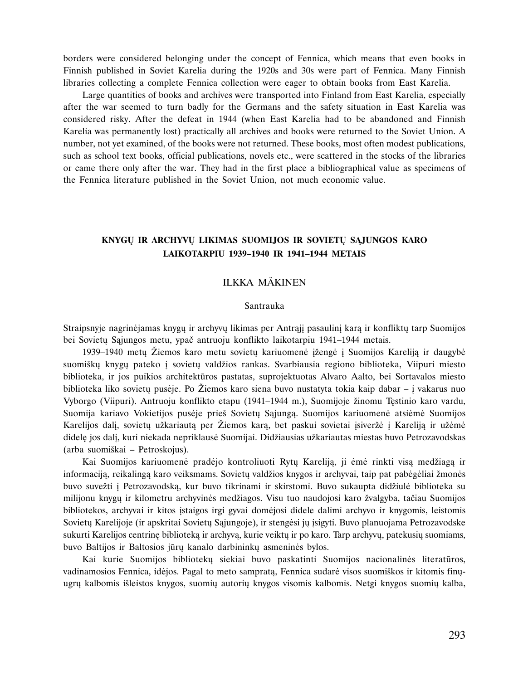borders were considered belonging under the concept of Fennica, which means that even books in Finnish published in Soviet Karelia during the 1920s and 30s were part of Fennica. Many Finnish libraries collecting a complete Fennica collection were eager to obtain books from East Karelia.

Large quantities of books and archives were transported into Finland from East Karelia, especially after the war seemed to turn badly for the Germans and the safety situation in East Karelia was considered risky. After the defeat in 1944 (when East Karelia had to be abandoned and Finnish Karelia was permanently lost) practically all archives and books were returned to the Soviet Union. A number, not yet examined, of the books were not returned. These books, most often modest publications, such as school text books, official publications, novels etc., were scattered in the stocks of the libraries or came there only after the war. They had in the first place a bibliographical value as specimens of the Fennica literature published in the Soviet Union, not much economic value.

### KNYGŲ IR ARCHYVŲ LIKIMAS SUOMIJOS IR SOVIETŲ SĄJUNGOS KARO LAIKOTARPIU 1939–1940 IR 1941–1944 METAIS

#### ILKKA MÄKINEN

#### Santrauka

Straipsnyje nagrinėjamas knygų ir archyvų likimas per Antrąjį pasaulinį karą ir konfliktų tarp Suomijos bei Sovietø Sàjungos metu, ypaè antruoju konflikto laikotarpiu 1941–1944 metais.

1939–1940 metu Žiemos karo metu sovietu kariuomenė ižengė i Suomijos Karelija ir daugybė suomišku knygu pateko í sovietu valdžios rankas. Svarbiausia regiono biblioteka, Viipuri miesto biblioteka, ir jos puikios architektûros pastatas, suprojektuotas Alvaro Aalto, bei Sortavalos miesto biblioteka liko sovietu pusėje. Po Žiemos karo siena buvo nustatyta tokia kaip dabar – i vakarus nuo Vyborgo (Viipuri). Antruoju konflikto etapu (1941–1944 m.), Suomijoje žinomu Testinio karo vardu, Suomija kariavo Vokietijos pusėje prieš Sovietų Sąjungą. Suomijos kariuomenė atsiėmė Suomijos Karelijos dali, sovietų užkariauta per Žiemos kara, bet paskui sovietai isiveržė i Karelija ir užėmė didelę jos dalį, kuri niekada nepriklausė Suomijai. Didžiausias užkariautas miestas buvo Petrozavodskas (arba suomiðkai – Petroskojus).

Kai Suomijos kariuomenė pradėjo kontroliuoti Rytų Kareliją, ji ėmė rinkti visą medžiagą ir informaciją, reikalingą karo veiksmams. Sovietų valdžios knygos ir archyvai, taip pat pabėgėliai žmonės buvo suvežti į Petrozavodską, kur buvo tikrinami ir skirstomi. Buvo sukaupta didžiulė biblioteka su milijonu knygų ir kilometru archyvinės medžiagos. Visu tuo naudojosi karo žvalgyba, tačiau Suomijos bibliotekos, archyvai ir kitos ástaigos irgi gyvai domëjosi didele dalimi archyvo ir knygomis, leistomis Sovietų Karelijoje (ir apskritai Sovietų Sąjungoje), ir stengėsi jų įsigyti. Buvo planuojama Petrozavodske sukurti Karelijos centrinę biblioteka ir archyva, kurie veiktų ir po karo. Tarp archyvų, patekusių suomiams, buvo Baltijos ir Baltosios jûrø kanalo darbininkø asmeninës bylos.

Kai kurie Suomijos bibliotekø siekiai buvo paskatinti Suomijos nacionalinës literatûros, vadinamosios Fennica, idëjos. Pagal to meto sampratà, Fennica sudarë visos suomiðkos ir kitomis finøugrø kalbomis iðleistos knygos, suomiø autoriø knygos visomis kalbomis. Netgi knygos suomiø kalba,